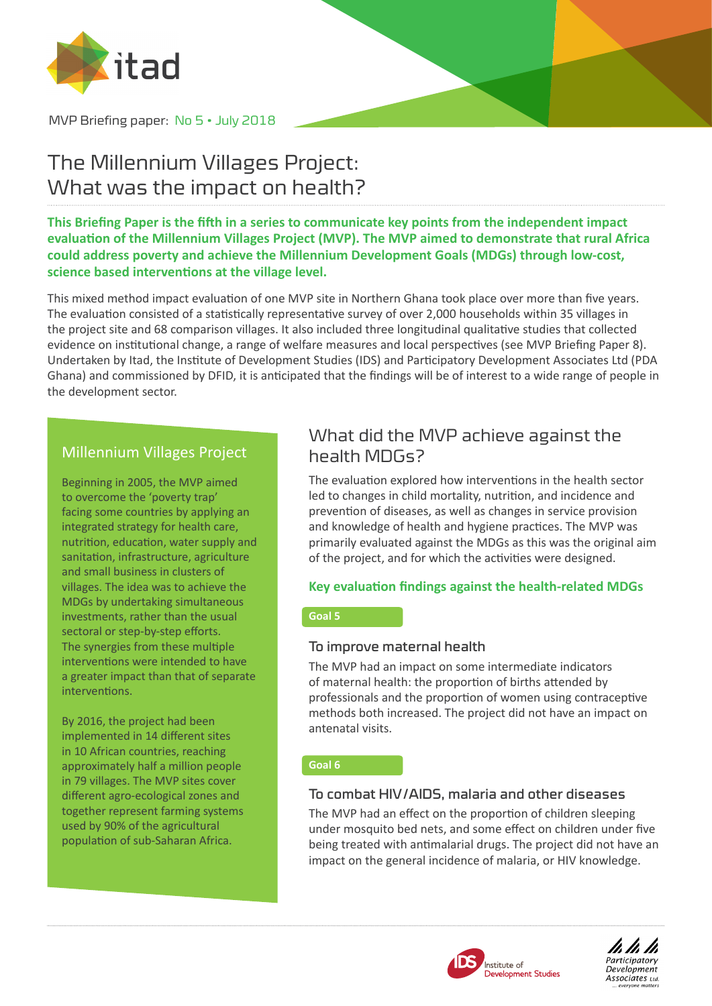

MVP Briefing paper: No 5 • July 2018

# The Millennium Villages Project: What was the impact on health?

**This Briefing Paper is the fifth in a series to communicate key points from the independent impact evaluation of the Millennium Villages Project (MVP). The MVP aimed to demonstrate that rural Africa could address poverty and achieve the Millennium Development Goals (MDGs) through low-cost, science based interventions at the village level.** 

This mixed method impact evaluation of one MVP site in Northern Ghana took place over more than five years. The evaluation consisted of a statistically representative survey of over 2,000 households within 35 villages in the project site and 68 comparison villages. It also included three longitudinal qualitative studies that collected evidence on institutional change, a range of welfare measures and local perspectives (see MVP Briefing Paper 8). Undertaken by Itad, the Institute of Development Studies (IDS) and Participatory Development Associates Ltd (PDA Ghana) and commissioned by DFID, it is anticipated that the findings will be of interest to a wide range of people in the development sector.

### Millennium Villages Project

Beginning in 2005, the MVP aimed to overcome the 'poverty trap' facing some countries by applying an integrated strategy for health care, nutrition, education, water supply and sanitation, infrastructure, agriculture and small business in clusters of villages. The idea was to achieve the MDGs by undertaking simultaneous investments, rather than the usual sectoral or step-by-step efforts. The synergies from these multiple interventions were intended to have a greater impact than that of separate interventions.

By 2016, the project had been implemented in 14 different sites in 10 African countries, reaching approximately half a million people in 79 villages. The MVP sites cover different agro-ecological zones and together represent farming systems used by 90% of the agricultural population of sub-Saharan Africa.

### What did the MVP achieve against the health MDGs?

The evaluation explored how interventions in the health sector led to changes in child mortality, nutrition, and incidence and prevention of diseases, as well as changes in service provision and knowledge of health and hygiene practices. The MVP was primarily evaluated against the MDGs as this was the original aim of the project, and for which the activities were designed.

#### **Key evaluation findings against the health-related MDGs**

#### **Goal 5**

#### To improve maternal health

The MVP had an impact on some intermediate indicators of maternal health: the proportion of births attended by professionals and the proportion of women using contraceptive methods both increased. The project did not have an impact on antenatal visits.

#### **Goal 6**

#### To combat HIV/AIDS, malaria and other diseases

The MVP had an effect on the proportion of children sleeping under mosquito bed nets, and some effect on children under five being treated with antimalarial drugs. The project did not have an impact on the general incidence of malaria, or HIV knowledge.